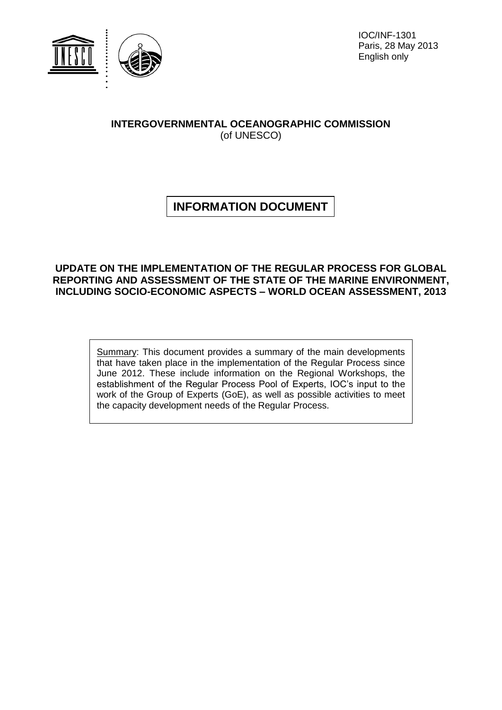

IOC/INF-1301 Paris, 28 May 2013 English only

# **INTERGOVERNMENTAL OCEANOGRAPHIC COMMISSION** (of UNESCO)

# **INFORMATION DOCUMENT**

# **UPDATE ON THE IMPLEMENTATION OF THE REGULAR PROCESS FOR GLOBAL REPORTING AND ASSESSMENT OF THE STATE OF THE MARINE ENVIRONMENT, INCLUDING SOCIO-ECONOMIC ASPECTS – WORLD OCEAN ASSESSMENT, 2013**

Summary: This document provides a summary of the main developments that have taken place in the implementation of the Regular Process since June 2012. These include information on the Regional Workshops, the establishment of the Regular Process Pool of Experts, IOC's input to the work of the Group of Experts (GoE), as well as possible activities to meet the capacity development needs of the Regular Process.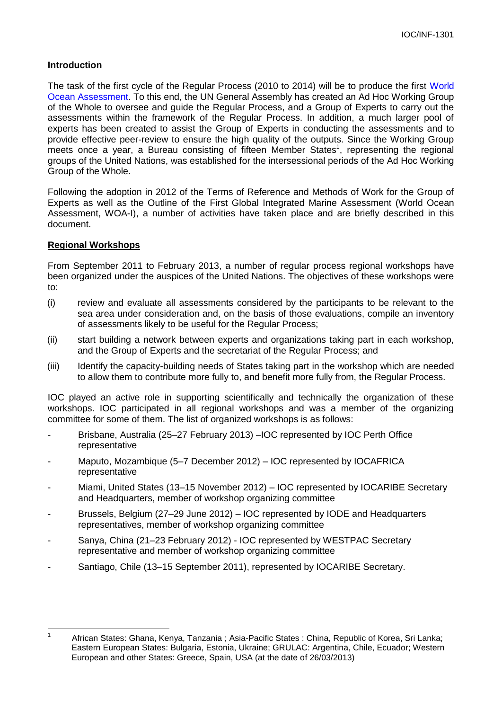# **Introduction**

The task of the first cycle of the Regular Process (2010 to 2014) will be to produce the first [World](http://www.worldoceanassessment.org/)  [Ocean Assessment.](http://www.worldoceanassessment.org/) To this end, the UN General Assembly has created an Ad Hoc Working Group of the Whole to oversee and guide the Regular Process, and a Group of Experts to carry out the assessments within the framework of the Regular Process. In addition, a much larger pool of experts has been created to assist the Group of Experts in conducting the assessments and to provide effective peer-review to ensure the high quality of the outputs. Since the Working Group meets once a year, a Bureau consisting of fifteen Member States<sup>1</sup>, representing the regional groups of the United Nations, was established for the intersessional periods of the Ad Hoc Working Group of the Whole.

Following the adoption in 2012 of the Terms of Reference and Methods of Work for the Group of Experts as well as the Outline of the First Global Integrated Marine Assessment (World Ocean Assessment, WOA-I), a number of activities have taken place and are briefly described in this document.

## **Regional Workshops**

From September 2011 to February 2013, a number of regular process regional workshops have been organized under the auspices of the United Nations. The objectives of these workshops were to:

- (i) review and evaluate all assessments considered by the participants to be relevant to the sea area under consideration and, on the basis of those evaluations, compile an inventory of assessments likely to be useful for the Regular Process;
- (ii) start building a network between experts and organizations taking part in each workshop, and the Group of Experts and the secretariat of the Regular Process; and
- (iii) Identify the capacity-building needs of States taking part in the workshop which are needed to allow them to contribute more fully to, and benefit more fully from, the Regular Process.

IOC played an active role in supporting scientifically and technically the organization of these workshops. IOC participated in all regional workshops and was a member of the organizing committee for some of them. The list of organized workshops is as follows:

- Brisbane, Australia (25–27 February 2013) –IOC represented by IOC Perth Office representative
- Maputo, Mozambique (5–7 December 2012) IOC represented by IOCAFRICA representative
- Miami, United States (13–15 November 2012) IOC represented by IOCARIBE Secretary and Headquarters, member of workshop organizing committee
- Brussels, Belgium (27–29 June 2012) IOC represented by IODE and Headquarters representatives, member of workshop organizing committee
- Sanya, China (21–23 February 2012) IOC represented by WESTPAC Secretary representative and member of workshop organizing committee
- Santiago, Chile (13–15 September 2011), represented by IOCARIBE Secretary.

 $\frac{1}{1}$  African States: Ghana, Kenya, Tanzania ; Asia-Pacific States : China, Republic of Korea, Sri Lanka; Eastern European States: Bulgaria, Estonia, Ukraine; GRULAC: Argentina, Chile, Ecuador; Western European and other States: Greece, Spain, USA (at the date of 26/03/2013)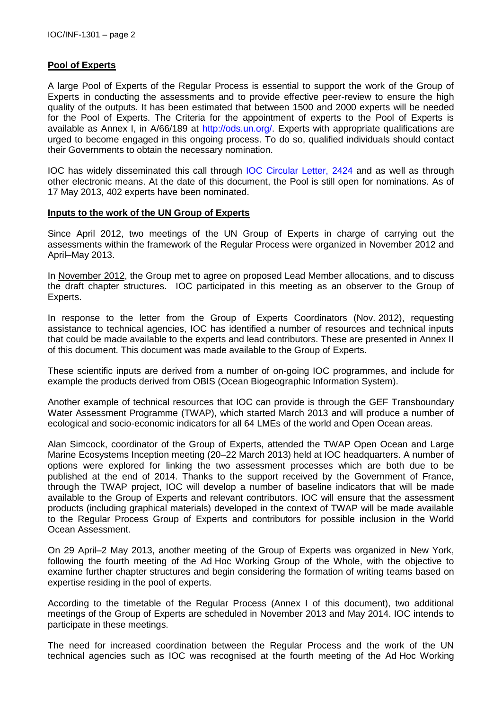# **Pool of Experts**

A large Pool of Experts of the Regular Process is essential to support the work of the Group of Experts in conducting the assessments and to provide effective peer-review to ensure the high quality of the outputs. It has been estimated that between 1500 and 2000 experts will be needed for the Pool of Experts. The Criteria for the appointment of experts to the Pool of Experts is available as Annex I, in A/66/189 at [http://ods.un.org/.](http://ods.un.org/) Experts with appropriate qualifications are urged to become engaged in this ongoing process. To do so, qualified individuals should contact their Governments to obtain the necessary nomination.

IOC has widely disseminated this call through [IOC Circular Letter, 2424](http://www.ioc-unesco.org/index.php?option=com_oe&task=viewDocumentRecord&docID=8602) and as well as through other electronic means. At the date of this document, the Pool is still open for nominations. As of 17 May 2013, 402 experts have been nominated.

#### **Inputs to the work of the UN Group of Experts**

Since April 2012, two meetings of the UN Group of Experts in charge of carrying out the assessments within the framework of the Regular Process were organized in November 2012 and April–May 2013.

In November 2012, the Group met to agree on proposed Lead Member allocations, and to discuss the draft chapter structures. IOC participated in this meeting as an observer to the Group of Experts.

In response to the letter from the Group of Experts Coordinators (Nov. 2012), requesting assistance to technical agencies, IOC has identified a number of resources and technical inputs that could be made available to the experts and lead contributors. These are presented in Annex II of this document. This document was made available to the Group of Experts.

These scientific inputs are derived from a number of on-going IOC programmes, and include for example the products derived from OBIS (Ocean Biogeographic Information System).

Another example of technical resources that IOC can provide is through the GEF Transboundary Water Assessment Programme (TWAP), which started March 2013 and will produce a number of ecological and socio-economic indicators for all 64 LMEs of the world and Open Ocean areas.

Alan Simcock, coordinator of the Group of Experts, attended the TWAP Open Ocean and Large Marine Ecosystems Inception meeting (20–22 March 2013) held at IOC headquarters. A number of options were explored for linking the two assessment processes which are both due to be published at the end of 2014. Thanks to the support received by the Government of France, through the TWAP project, IOC will develop a number of baseline indicators that will be made available to the Group of Experts and relevant contributors. IOC will ensure that the assessment products (including graphical materials) developed in the context of TWAP will be made available to the Regular Process Group of Experts and contributors for possible inclusion in the World Ocean Assessment.

On 29 April–2 May 2013, another meeting of the Group of Experts was organized in New York, following the fourth meeting of the Ad Hoc Working Group of the Whole, with the objective to examine further chapter structures and begin considering the formation of writing teams based on expertise residing in the pool of experts.

According to the timetable of the Regular Process (Annex I of this document), two additional meetings of the Group of Experts are scheduled in November 2013 and May 2014. IOC intends to participate in these meetings.

The need for increased coordination between the Regular Process and the work of the UN technical agencies such as IOC was recognised at the fourth meeting of the Ad Hoc Working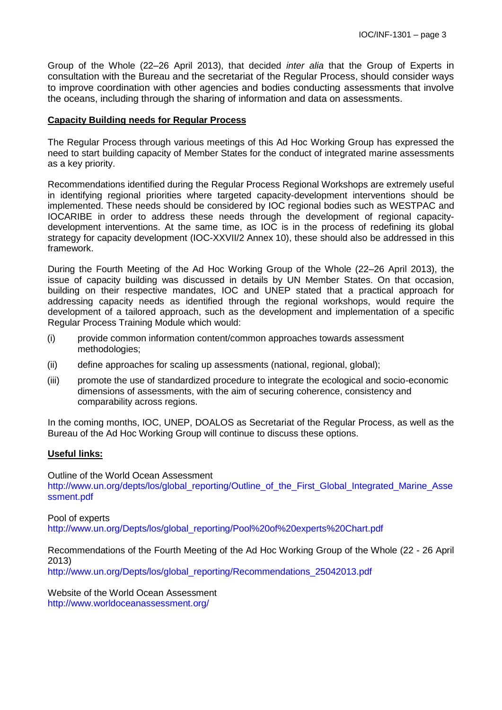Group of the Whole (22–26 April 2013), that decided *inter alia* that the Group of Experts in consultation with the Bureau and the secretariat of the Regular Process, should consider ways to improve coordination with other agencies and bodies conducting assessments that involve the oceans, including through the sharing of information and data on assessments.

#### **Capacity Building needs for Regular Process**

The Regular Process through various meetings of this Ad Hoc Working Group has expressed the need to start building capacity of Member States for the conduct of integrated marine assessments as a key priority.

Recommendations identified during the Regular Process Regional Workshops are extremely useful in identifying regional priorities where targeted capacity-development interventions should be implemented. These needs should be considered by IOC regional bodies such as WESTPAC and IOCARIBE in order to address these needs through the development of regional capacitydevelopment interventions. At the same time, as IOC is in the process of redefining its global strategy for capacity development (IOC-XXVII/2 Annex 10), these should also be addressed in this framework.

During the Fourth Meeting of the Ad Hoc Working Group of the Whole (22–26 April 2013), the issue of capacity building was discussed in details by UN Member States. On that occasion, building on their respective mandates, IOC and UNEP stated that a practical approach for addressing capacity needs as identified through the regional workshops, would require the development of a tailored approach, such as the development and implementation of a specific Regular Process Training Module which would:

- (i) provide common information content/common approaches towards assessment methodologies;
- (ii) define approaches for scaling up assessments (national, regional, global);
- (iii) promote the use of standardized procedure to integrate the ecological and socio-economic dimensions of assessments, with the aim of securing coherence, consistency and comparability across regions.

In the coming months, IOC, UNEP, DOALOS as Secretariat of the Regular Process, as well as the Bureau of the Ad Hoc Working Group will continue to discuss these options.

#### **Useful links:**

Outline of the World Ocean Assessment [http://www.un.org/depts/los/global\\_reporting/Outline\\_of\\_the\\_First\\_Global\\_Integrated\\_Marine\\_Asse](http://www.un.org/depts/los/global_reporting/Outline_of_the_First_Global_Integrated_Marine_Assessment.pdf) [ssment.pdf](http://www.un.org/depts/los/global_reporting/Outline_of_the_First_Global_Integrated_Marine_Assessment.pdf)

Pool of experts [http://www.un.org/Depts/los/global\\_reporting/Pool%20of%20experts%20Chart.pdf](http://www.un.org/Depts/los/global_reporting/Pool%20of%20experts%20Chart.pdf)

Recommendations of the Fourth Meeting of the Ad Hoc Working Group of the Whole (22 - 26 April 2013)

[http://www.un.org/Depts/los/global\\_reporting/Recommendations\\_25042013.pdf](http://www.un.org/Depts/los/global_reporting/Recommendations_25042013.pdf)

Website of the World Ocean Assessment <http://www.worldoceanassessment.org/>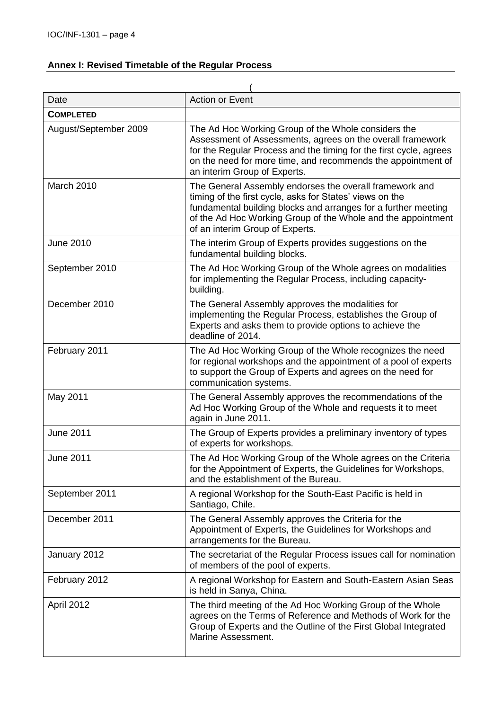# **Annex I: Revised Timetable of the Regular Process**

| Date                  | <b>Action or Event</b>                                                                                                                                                                                                                                                                   |  |  |  |
|-----------------------|------------------------------------------------------------------------------------------------------------------------------------------------------------------------------------------------------------------------------------------------------------------------------------------|--|--|--|
| <b>COMPLETED</b>      |                                                                                                                                                                                                                                                                                          |  |  |  |
| August/September 2009 | The Ad Hoc Working Group of the Whole considers the<br>Assessment of Assessments, agrees on the overall framework<br>for the Regular Process and the timing for the first cycle, agrees<br>on the need for more time, and recommends the appointment of<br>an interim Group of Experts.  |  |  |  |
| March 2010            | The General Assembly endorses the overall framework and<br>timing of the first cycle, asks for States' views on the<br>fundamental building blocks and arranges for a further meeting<br>of the Ad Hoc Working Group of the Whole and the appointment<br>of an interim Group of Experts. |  |  |  |
| June 2010             | The interim Group of Experts provides suggestions on the<br>fundamental building blocks.                                                                                                                                                                                                 |  |  |  |
| September 2010        | The Ad Hoc Working Group of the Whole agrees on modalities<br>for implementing the Regular Process, including capacity-<br>building.                                                                                                                                                     |  |  |  |
| December 2010         | The General Assembly approves the modalities for<br>implementing the Regular Process, establishes the Group of<br>Experts and asks them to provide options to achieve the<br>deadline of 2014.                                                                                           |  |  |  |
| February 2011         | The Ad Hoc Working Group of the Whole recognizes the need<br>for regional workshops and the appointment of a pool of experts<br>to support the Group of Experts and agrees on the need for<br>communication systems.                                                                     |  |  |  |
| May 2011              | The General Assembly approves the recommendations of the<br>Ad Hoc Working Group of the Whole and requests it to meet<br>again in June 2011.                                                                                                                                             |  |  |  |
| June 2011             | The Group of Experts provides a preliminary inventory of types<br>of experts for workshops.                                                                                                                                                                                              |  |  |  |
| June 2011             | The Ad Hoc Working Group of the Whole agrees on the Criteria<br>for the Appointment of Experts, the Guidelines for Workshops,<br>and the establishment of the Bureau.                                                                                                                    |  |  |  |
| September 2011        | A regional Workshop for the South-East Pacific is held in<br>Santiago, Chile.                                                                                                                                                                                                            |  |  |  |
| December 2011         | The General Assembly approves the Criteria for the<br>Appointment of Experts, the Guidelines for Workshops and<br>arrangements for the Bureau.                                                                                                                                           |  |  |  |
| January 2012          | The secretariat of the Regular Process issues call for nomination<br>of members of the pool of experts.                                                                                                                                                                                  |  |  |  |
| February 2012         | A regional Workshop for Eastern and South-Eastern Asian Seas<br>is held in Sanya, China.                                                                                                                                                                                                 |  |  |  |
| April 2012            | The third meeting of the Ad Hoc Working Group of the Whole<br>agrees on the Terms of Reference and Methods of Work for the<br>Group of Experts and the Outline of the First Global Integrated<br>Marine Assessment.                                                                      |  |  |  |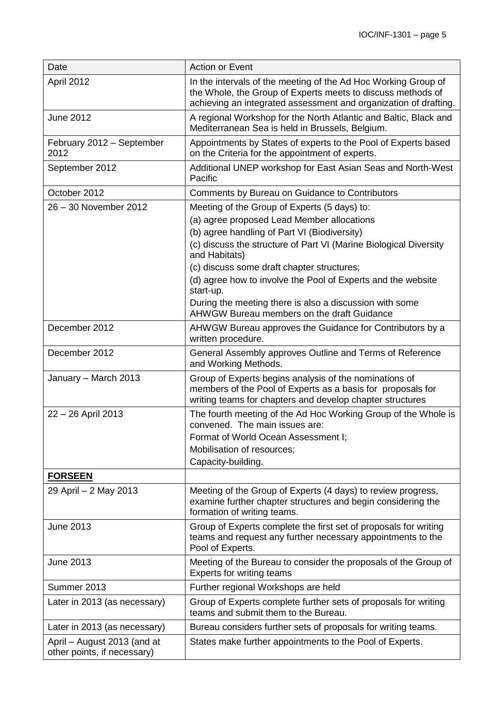| Date                                                       | <b>Action or Event</b>                                                                                                                                                                                                                                                                                                                         |
|------------------------------------------------------------|------------------------------------------------------------------------------------------------------------------------------------------------------------------------------------------------------------------------------------------------------------------------------------------------------------------------------------------------|
| April 2012                                                 | In the intervals of the meeting of the Ad Hoc Working Group of<br>the Whole, the Group of Experts meets to discuss methods of<br>achieving an integrated assessment and organization of drafting.                                                                                                                                              |
| <b>June 2012</b>                                           | A regional Workshop for the North Atlantic and Baltic, Black and<br>Mediterranean Sea is held in Brussels, Belgium.                                                                                                                                                                                                                            |
| February 2012 - September<br>2012                          | Appointments by States of experts to the Pool of Experts based<br>on the Criteria for the appointment of experts.                                                                                                                                                                                                                              |
| September 2012                                             | Additional UNEP workshop for East Asian Seas and North-West<br>Pacific                                                                                                                                                                                                                                                                         |
| October 2012                                               | Comments by Bureau on Guidance to Contributors                                                                                                                                                                                                                                                                                                 |
| 26 - 30 November 2012                                      | Meeting of the Group of Experts (5 days) to:<br>(a) agree proposed Lead Member allocations<br>(b) agree handling of Part VI (Biodiversity)<br>(c) discuss the structure of Part VI (Marine Biological Diversity<br>and Habitats)<br>(c) discuss some draft chapter structures;<br>(d) agree how to involve the Pool of Experts and the website |
|                                                            | start-up.<br>During the meeting there is also a discussion with some<br>AHWGW Bureau members on the draft Guidance                                                                                                                                                                                                                             |
| December 2012                                              | AHWGW Bureau approves the Guidance for Contributors by a<br>written procedure.                                                                                                                                                                                                                                                                 |
| December 2012                                              | General Assembly approves Outline and Terms of Reference<br>and Working Methods.                                                                                                                                                                                                                                                               |
| January - March 2013                                       | Group of Experts begins analysis of the nominations of<br>members of the Pool of Experts as a basis for proposals for<br>writing teams for chapters and develop chapter structures                                                                                                                                                             |
| 22 - 26 April 2013                                         | The fourth meeting of the Ad Hoc Working Group of the Whole is<br>convened. The main issues are:                                                                                                                                                                                                                                               |
|                                                            | Format of World Ocean Assessment I;                                                                                                                                                                                                                                                                                                            |
|                                                            | Mobilisation of resources;                                                                                                                                                                                                                                                                                                                     |
|                                                            | Capacity-building.                                                                                                                                                                                                                                                                                                                             |
| <b>FORSEEN</b>                                             |                                                                                                                                                                                                                                                                                                                                                |
| 29 April - 2 May 2013                                      | Meeting of the Group of Experts (4 days) to review progress,<br>examine further chapter structures and begin considering the<br>formation of writing teams.                                                                                                                                                                                    |
| June 2013                                                  | Group of Experts complete the first set of proposals for writing<br>teams and request any further necessary appointments to the<br>Pool of Experts.                                                                                                                                                                                            |
| June 2013                                                  | Meeting of the Bureau to consider the proposals of the Group of<br><b>Experts for writing teams</b>                                                                                                                                                                                                                                            |
| Summer 2013                                                | Further regional Workshops are held                                                                                                                                                                                                                                                                                                            |
| Later in 2013 (as necessary)                               | Group of Experts complete further sets of proposals for writing<br>teams and submit them to the Bureau.                                                                                                                                                                                                                                        |
| Later in 2013 (as necessary)                               | Bureau considers further sets of proposals for writing teams.                                                                                                                                                                                                                                                                                  |
| April - August 2013 (and at<br>other points, if necessary) | States make further appointments to the Pool of Experts.                                                                                                                                                                                                                                                                                       |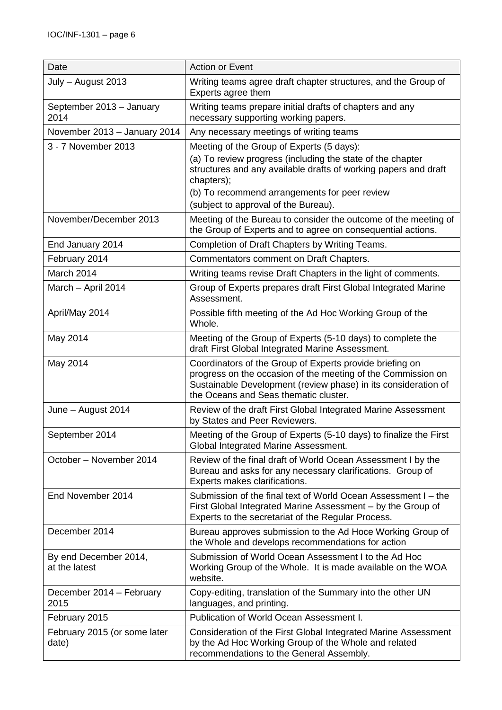| Date                                   | <b>Action or Event</b>                                                                                                                                                                                                              |
|----------------------------------------|-------------------------------------------------------------------------------------------------------------------------------------------------------------------------------------------------------------------------------------|
| July - August 2013                     | Writing teams agree draft chapter structures, and the Group of<br>Experts agree them                                                                                                                                                |
| September 2013 - January<br>2014       | Writing teams prepare initial drafts of chapters and any<br>necessary supporting working papers.                                                                                                                                    |
| November 2013 - January 2014           | Any necessary meetings of writing teams                                                                                                                                                                                             |
| 3 - 7 November 2013                    | Meeting of the Group of Experts (5 days):                                                                                                                                                                                           |
|                                        | (a) To review progress (including the state of the chapter<br>structures and any available drafts of working papers and draft<br>chapters);<br>(b) To recommend arrangements for peer review                                        |
|                                        | (subject to approval of the Bureau).                                                                                                                                                                                                |
| November/December 2013                 | Meeting of the Bureau to consider the outcome of the meeting of<br>the Group of Experts and to agree on consequential actions.                                                                                                      |
| End January 2014                       | Completion of Draft Chapters by Writing Teams.                                                                                                                                                                                      |
| February 2014                          | Commentators comment on Draft Chapters.                                                                                                                                                                                             |
| March 2014                             | Writing teams revise Draft Chapters in the light of comments.                                                                                                                                                                       |
| March - April 2014                     | Group of Experts prepares draft First Global Integrated Marine<br>Assessment.                                                                                                                                                       |
| April/May 2014                         | Possible fifth meeting of the Ad Hoc Working Group of the<br>Whole.                                                                                                                                                                 |
| May 2014                               | Meeting of the Group of Experts (5-10 days) to complete the<br>draft First Global Integrated Marine Assessment.                                                                                                                     |
| May 2014                               | Coordinators of the Group of Experts provide briefing on<br>progress on the occasion of the meeting of the Commission on<br>Sustainable Development (review phase) in its consideration of<br>the Oceans and Seas thematic cluster. |
| June - August 2014                     | Review of the draft First Global Integrated Marine Assessment<br>by States and Peer Reviewers.                                                                                                                                      |
| September 2014                         | Meeting of the Group of Experts (5-10 days) to finalize the First<br>Global Integrated Marine Assessment.                                                                                                                           |
| October - November 2014                | Review of the final draft of World Ocean Assessment I by the<br>Bureau and asks for any necessary clarifications. Group of<br>Experts makes clarifications.                                                                         |
| End November 2014                      | Submission of the final text of World Ocean Assessment I – the<br>First Global Integrated Marine Assessment – by the Group of<br>Experts to the secretariat of the Regular Process.                                                 |
| December 2014                          | Bureau approves submission to the Ad Hoce Working Group of<br>the Whole and develops recommendations for action                                                                                                                     |
| By end December 2014,<br>at the latest | Submission of World Ocean Assessment I to the Ad Hoc<br>Working Group of the Whole. It is made available on the WOA<br>website.                                                                                                     |
| December 2014 - February<br>2015       | Copy-editing, translation of the Summary into the other UN<br>languages, and printing.                                                                                                                                              |
| February 2015                          | Publication of World Ocean Assessment I.                                                                                                                                                                                            |
| February 2015 (or some later<br>date)  | Consideration of the First Global Integrated Marine Assessment<br>by the Ad Hoc Working Group of the Whole and related<br>recommendations to the General Assembly.                                                                  |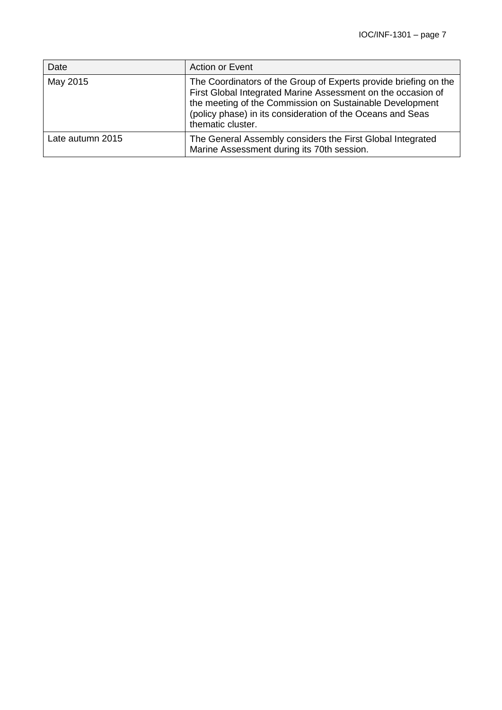| Date             | Action or Event                                                                                                                                                                                                                                                                 |
|------------------|---------------------------------------------------------------------------------------------------------------------------------------------------------------------------------------------------------------------------------------------------------------------------------|
| May 2015         | The Coordinators of the Group of Experts provide briefing on the<br>First Global Integrated Marine Assessment on the occasion of<br>the meeting of the Commission on Sustainable Development<br>(policy phase) in its consideration of the Oceans and Seas<br>thematic cluster. |
| Late autumn 2015 | The General Assembly considers the First Global Integrated<br>Marine Assessment during its 70th session.                                                                                                                                                                        |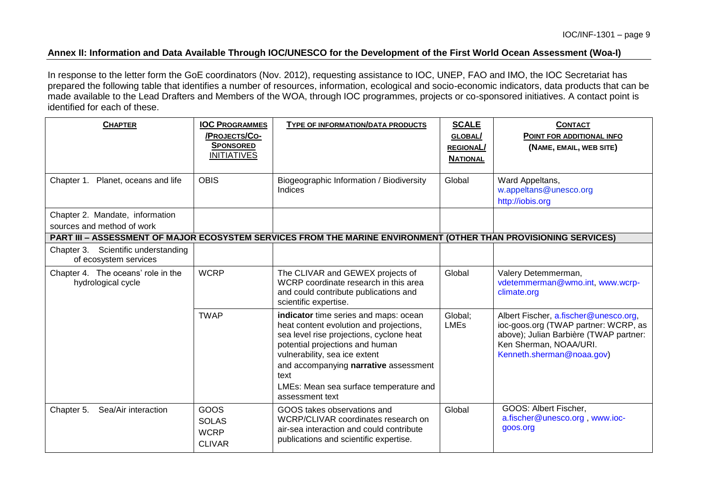## **Annex II: Information and Data Available Through IOC/UNESCO for the Development of the First World Ocean Assessment (Woa-I)**

In response to the letter form the GoE coordinators (Nov. 2012), requesting assistance to IOC, UNEP, FAO and IMO, the IOC Secretariat has prepared the following table that identifies a number of resources, information, ecological and socio-economic indicators, data products that can be made available to the Lead Drafters and Members of the WOA, through IOC programmes, projects or co-sponsored initiatives. A contact point is identified for each of these.

| <b>CHAPTER</b>                                                | <b>IOC PROGRAMMES</b><br>/PROJECTS/CO-<br><b>SPONSORED</b><br><b>INITIATIVES</b> | TYPE OF INFORMATION/DATA PRODUCTS                                                                                                                                                                                                                                                                              | <b>SCALE</b><br>GLOBAL/<br><b>REGIONAL/</b><br><b>NATIONAL</b> | <b>CONTACT</b><br>POINT FOR ADDITIONAL INFO<br>(NAME, EMAIL, WEB SITE)                                                                                                         |
|---------------------------------------------------------------|----------------------------------------------------------------------------------|----------------------------------------------------------------------------------------------------------------------------------------------------------------------------------------------------------------------------------------------------------------------------------------------------------------|----------------------------------------------------------------|--------------------------------------------------------------------------------------------------------------------------------------------------------------------------------|
| Chapter 1. Planet, oceans and life                            | <b>OBIS</b>                                                                      | Biogeographic Information / Biodiversity<br>Indices                                                                                                                                                                                                                                                            | Global                                                         | Ward Appeltans,<br>w.appeltans@unesco.org<br>http://iobis.org                                                                                                                  |
| Chapter 2. Mandate, information<br>sources and method of work |                                                                                  |                                                                                                                                                                                                                                                                                                                |                                                                |                                                                                                                                                                                |
|                                                               |                                                                                  | PART III – ASSESSMENT OF MAJOR ECOSYSTEM SERVICES FROM THE MARINE ENVIRONMENT (OTHER THAN PROVISIONING SERVICES)                                                                                                                                                                                               |                                                                |                                                                                                                                                                                |
| Chapter 3. Scientific understanding<br>of ecosystem services  |                                                                                  |                                                                                                                                                                                                                                                                                                                |                                                                |                                                                                                                                                                                |
| Chapter 4. The oceans' role in the<br>hydrological cycle      | <b>WCRP</b>                                                                      | The CLIVAR and GEWEX projects of<br>WCRP coordinate research in this area<br>and could contribute publications and<br>scientific expertise.                                                                                                                                                                    | Global                                                         | Valery Detemmerman,<br>vdetemmerman@wmo.int, www.wcrp-<br>climate.org                                                                                                          |
|                                                               | <b>TWAP</b>                                                                      | indicator time series and maps: ocean<br>heat content evolution and projections,<br>sea level rise projections, cyclone heat<br>potential projections and human<br>vulnerability, sea ice extent<br>and accompanying narrative assessment<br>text<br>LMEs: Mean sea surface temperature and<br>assessment text | Global:<br><b>LMEs</b>                                         | Albert Fischer, a.fischer@unesco.org,<br>ioc-goos.org (TWAP partner: WCRP, as<br>above); Julian Barbière (TWAP partner:<br>Ken Sherman, NOAA/URI.<br>Kenneth.sherman@noaa.gov) |
| Sea/Air interaction<br>Chapter 5.                             | GOOS<br><b>SOLAS</b><br><b>WCRP</b><br><b>CLIVAR</b>                             | GOOS takes observations and<br>WCRP/CLIVAR coordinates research on<br>air-sea interaction and could contribute<br>publications and scientific expertise.                                                                                                                                                       | Global                                                         | GOOS: Albert Fischer,<br>a.fischer@unesco.org, www.ioc-<br>goos.org                                                                                                            |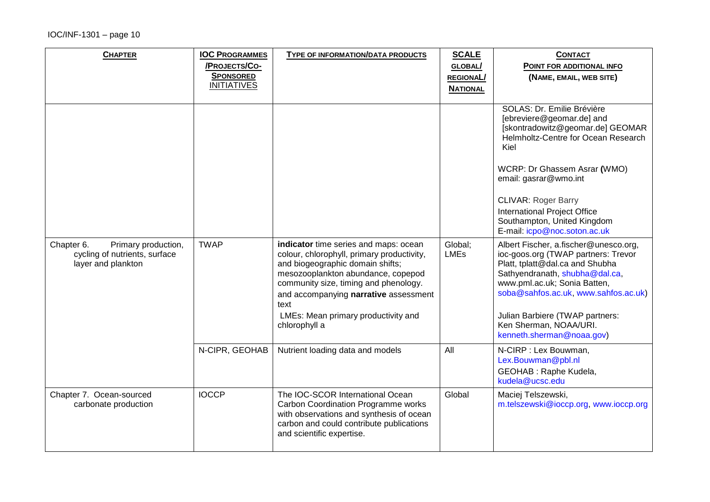| <b>CHAPTER</b>                                                                           | <b>IOC PROGRAMMES</b><br>/PROJECTS/CO-<br><b>SPONSORED</b><br><b>INITIATIVES</b> | <b>TYPE OF INFORMATION/DATA PRODUCTS</b>                                                                                                                                                                                                                | <b>SCALE</b><br><b>GLOBAL/</b><br><b>REGIONAL/</b><br><b>NATIONAL</b> | <b>CONTACT</b><br>POINT FOR ADDITIONAL INFO<br>(NAME, EMAIL, WEB SITE)                                                                                                                                                    |
|------------------------------------------------------------------------------------------|----------------------------------------------------------------------------------|---------------------------------------------------------------------------------------------------------------------------------------------------------------------------------------------------------------------------------------------------------|-----------------------------------------------------------------------|---------------------------------------------------------------------------------------------------------------------------------------------------------------------------------------------------------------------------|
|                                                                                          |                                                                                  |                                                                                                                                                                                                                                                         |                                                                       | SOLAS: Dr. Emilie Brévière<br>[ebreviere@geomar.de] and<br>[skontradowitz@geomar.de] GEOMAR<br>Helmholtz-Centre for Ocean Research<br>Kiel                                                                                |
|                                                                                          |                                                                                  |                                                                                                                                                                                                                                                         |                                                                       | WCRP: Dr Ghassem Asrar (WMO)<br>email: gasrar@wmo.int                                                                                                                                                                     |
|                                                                                          |                                                                                  |                                                                                                                                                                                                                                                         |                                                                       | <b>CLIVAR: Roger Barry</b><br>International Project Office<br>Southampton, United Kingdom<br>E-mail: icpo@noc.soton.ac.uk                                                                                                 |
| Primary production,<br>Chapter 6.<br>cycling of nutrients, surface<br>layer and plankton | <b>TWAP</b>                                                                      | indicator time series and maps: ocean<br>colour, chlorophyll, primary productivity,<br>and biogeographic domain shifts;<br>mesozooplankton abundance, copepod<br>community size, timing and phenology.<br>and accompanying narrative assessment<br>text | Global;<br><b>LMEs</b>                                                | Albert Fischer, a.fischer@unesco.org,<br>ioc-goos.org (TWAP partners: Trevor<br>Platt, tplatt@dal.ca and Shubha<br>Sathyendranath, shubha@dal.ca,<br>www.pml.ac.uk; Sonia Batten,<br>soba@sahfos.ac.uk, www.sahfos.ac.uk) |
|                                                                                          |                                                                                  | LMEs: Mean primary productivity and<br>chlorophyll a                                                                                                                                                                                                    |                                                                       | Julian Barbiere (TWAP partners:<br>Ken Sherman, NOAA/URI.<br>kenneth.sherman@noaa.gov)                                                                                                                                    |
|                                                                                          | N-CIPR, GEOHAB                                                                   | Nutrient loading data and models                                                                                                                                                                                                                        | All                                                                   | N-CIRP : Lex Bouwman,<br>Lex.Bouwman@pbl.nl<br>GEOHAB : Raphe Kudela,<br>kudela@ucsc.edu                                                                                                                                  |
| Chapter 7. Ocean-sourced<br>carbonate production                                         | <b>IOCCP</b>                                                                     | The IOC-SCOR International Ocean<br><b>Carbon Coordination Programme works</b><br>with observations and synthesis of ocean<br>carbon and could contribute publications<br>and scientific expertise.                                                     | Global                                                                | Maciej Telszewski,<br>m.telszewski@ioccp.org, www.ioccp.org                                                                                                                                                               |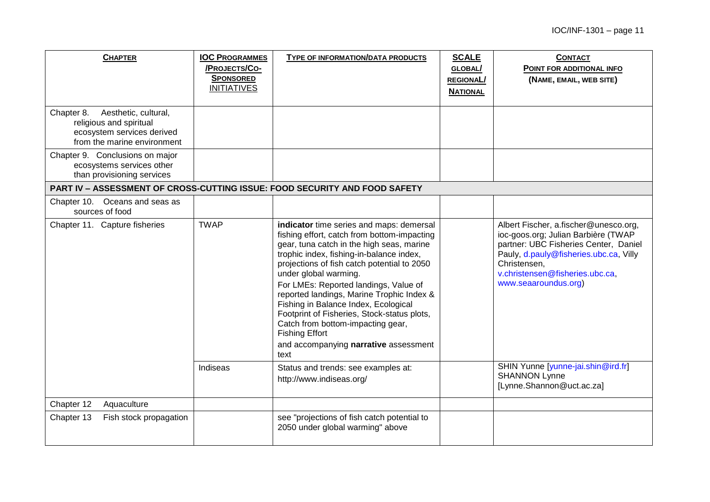| <b>CHAPTER</b>                                                                                                             | <b>IOC PROGRAMMES</b><br>/PROJECTS/CO-<br><b>SPONSORED</b><br><b>INITIATIVES</b> | TYPE OF INFORMATION/DATA PRODUCTS                                                                                                                                                                                                                                                                                                                                                                                                                                                                                                                    | <b>SCALE</b><br>GLOBAL/<br><b>REGIONAL/</b><br><b>NATIONAL</b> | <b>CONTACT</b><br>POINT FOR ADDITIONAL INFO<br>(NAME, EMAIL, WEB SITE)                                                                                                                                                                     |
|----------------------------------------------------------------------------------------------------------------------------|----------------------------------------------------------------------------------|------------------------------------------------------------------------------------------------------------------------------------------------------------------------------------------------------------------------------------------------------------------------------------------------------------------------------------------------------------------------------------------------------------------------------------------------------------------------------------------------------------------------------------------------------|----------------------------------------------------------------|--------------------------------------------------------------------------------------------------------------------------------------------------------------------------------------------------------------------------------------------|
| Chapter 8.<br>Aesthetic, cultural,<br>religious and spiritual<br>ecosystem services derived<br>from the marine environment |                                                                                  |                                                                                                                                                                                                                                                                                                                                                                                                                                                                                                                                                      |                                                                |                                                                                                                                                                                                                                            |
| Chapter 9. Conclusions on major<br>ecosystems services other<br>than provisioning services                                 |                                                                                  |                                                                                                                                                                                                                                                                                                                                                                                                                                                                                                                                                      |                                                                |                                                                                                                                                                                                                                            |
|                                                                                                                            |                                                                                  | <b>PART IV - ASSESSMENT OF CROSS-CUTTING ISSUE: FOOD SECURITY AND FOOD SAFETY</b>                                                                                                                                                                                                                                                                                                                                                                                                                                                                    |                                                                |                                                                                                                                                                                                                                            |
| Chapter 10. Oceans and seas as<br>sources of food                                                                          |                                                                                  |                                                                                                                                                                                                                                                                                                                                                                                                                                                                                                                                                      |                                                                |                                                                                                                                                                                                                                            |
| Chapter 11. Capture fisheries                                                                                              | <b>TWAP</b>                                                                      | indicator time series and maps: demersal<br>fishing effort, catch from bottom-impacting<br>gear, tuna catch in the high seas, marine<br>trophic index, fishing-in-balance index,<br>projections of fish catch potential to 2050<br>under global warming.<br>For LMEs: Reported landings, Value of<br>reported landings, Marine Trophic Index &<br>Fishing in Balance Index, Ecological<br>Footprint of Fisheries, Stock-status plots,<br>Catch from bottom-impacting gear,<br><b>Fishing Effort</b><br>and accompanying narrative assessment<br>text |                                                                | Albert Fischer, a.fischer@unesco.org,<br>ioc-goos.org; Julian Barbière (TWAP<br>partner: UBC Fisheries Center, Daniel<br>Pauly, d.pauly@fisheries.ubc.ca, Villy<br>Christensen,<br>v.christensen@fisheries.ubc.ca,<br>www.seaaroundus.org) |
|                                                                                                                            | Indiseas                                                                         | Status and trends: see examples at:<br>http://www.indiseas.org/                                                                                                                                                                                                                                                                                                                                                                                                                                                                                      |                                                                | SHIN Yunne [yunne-jai.shin@ird.fr]<br><b>SHANNON Lynne</b><br>[Lynne.Shannon@uct.ac.za]                                                                                                                                                    |
| Chapter 12<br>Aquaculture                                                                                                  |                                                                                  |                                                                                                                                                                                                                                                                                                                                                                                                                                                                                                                                                      |                                                                |                                                                                                                                                                                                                                            |
| Chapter 13<br>Fish stock propagation                                                                                       |                                                                                  | see "projections of fish catch potential to<br>2050 under global warming" above                                                                                                                                                                                                                                                                                                                                                                                                                                                                      |                                                                |                                                                                                                                                                                                                                            |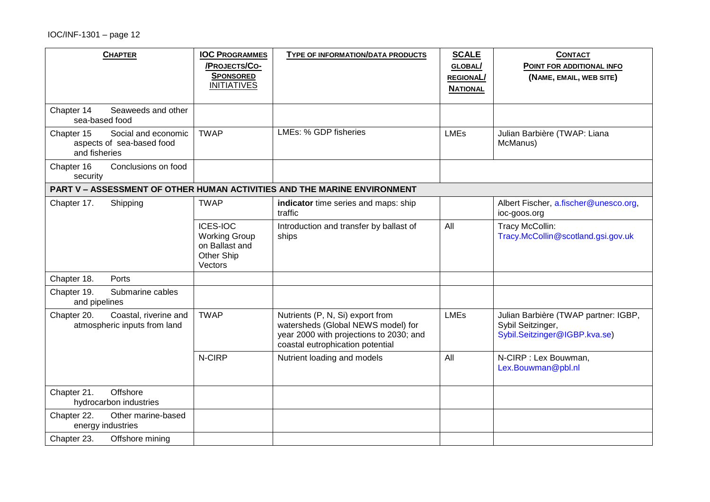| <b>CHAPTER</b>                                                                  | <b>IOC PROGRAMMES</b><br>/PROJECTS/CO-<br><b>SPONSORED</b><br><b>INITIATIVES</b>   | TYPE OF INFORMATION/DATA PRODUCTS                                                                                                                     | <b>SCALE</b><br><b>GLOBAL/</b><br><b>REGIONAL/</b><br><b>NATIONAL</b> | <b>CONTACT</b><br>POINT FOR ADDITIONAL INFO<br>(NAME, EMAIL, WEB SITE)                     |
|---------------------------------------------------------------------------------|------------------------------------------------------------------------------------|-------------------------------------------------------------------------------------------------------------------------------------------------------|-----------------------------------------------------------------------|--------------------------------------------------------------------------------------------|
| Seaweeds and other<br>Chapter 14<br>sea-based food                              |                                                                                    |                                                                                                                                                       |                                                                       |                                                                                            |
| Chapter 15<br>Social and economic<br>aspects of sea-based food<br>and fisheries | <b>TWAP</b>                                                                        | LMEs: % GDP fisheries                                                                                                                                 | <b>LMEs</b>                                                           | Julian Barbière (TWAP: Liana<br>McManus)                                                   |
| Chapter 16<br>Conclusions on food<br>security                                   |                                                                                    |                                                                                                                                                       |                                                                       |                                                                                            |
|                                                                                 |                                                                                    | PART V - ASSESSMENT OF OTHER HUMAN ACTIVITIES AND THE MARINE ENVIRONMENT                                                                              |                                                                       |                                                                                            |
| Chapter 17.<br>Shipping                                                         | <b>TWAP</b>                                                                        | indicator time series and maps: ship<br>traffic                                                                                                       |                                                                       | Albert Fischer, a.fischer@unesco.org,<br>ioc-goos.org                                      |
|                                                                                 | <b>ICES-IOC</b><br><b>Working Group</b><br>on Ballast and<br>Other Ship<br>Vectors | Introduction and transfer by ballast of<br>ships                                                                                                      | All                                                                   | Tracy McCollin:<br>Tracy.McCollin@scotland.gsi.gov.uk                                      |
| Chapter 18.<br>Ports                                                            |                                                                                    |                                                                                                                                                       |                                                                       |                                                                                            |
| Submarine cables<br>Chapter 19.<br>and pipelines                                |                                                                                    |                                                                                                                                                       |                                                                       |                                                                                            |
| Chapter 20.<br>Coastal, riverine and<br>atmospheric inputs from land            | <b>TWAP</b>                                                                        | Nutrients (P, N, Si) export from<br>watersheds (Global NEWS model) for<br>year 2000 with projections to 2030; and<br>coastal eutrophication potential | <b>LMEs</b>                                                           | Julian Barbière (TWAP partner: IGBP,<br>Sybil Seitzinger,<br>Sybil.Seitzinger@IGBP.kva.se) |
|                                                                                 | N-CIRP                                                                             | Nutrient loading and models                                                                                                                           | All                                                                   | N-CIRP : Lex Bouwman,<br>Lex.Bouwman@pbl.nl                                                |
| Offshore<br>Chapter 21.<br>hydrocarbon industries                               |                                                                                    |                                                                                                                                                       |                                                                       |                                                                                            |
| Chapter 22.<br>Other marine-based<br>energy industries                          |                                                                                    |                                                                                                                                                       |                                                                       |                                                                                            |
| Chapter 23.<br>Offshore mining                                                  |                                                                                    |                                                                                                                                                       |                                                                       |                                                                                            |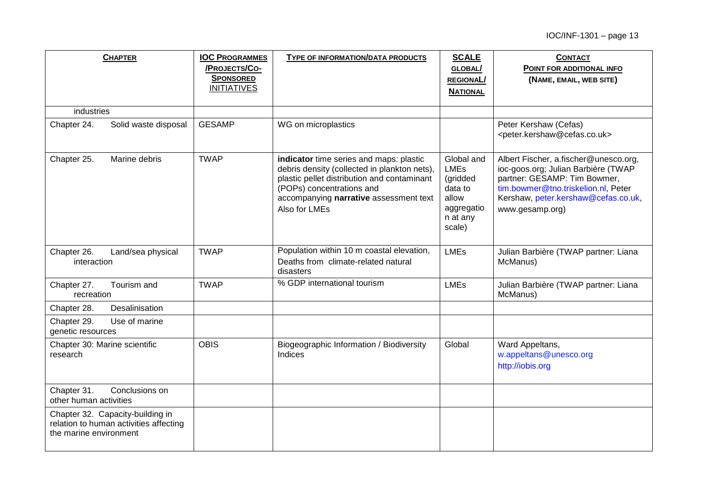| <b>CHAPTER</b>                                                                                       | <b>IOC PROGRAMMES</b><br>/PROJECTS/CO-<br><b>SPONSORED</b><br><b>INITIATIVES</b> | TYPE OF INFORMATION/DATA PRODUCTS                                                                                                                                                                                              | <b>SCALE</b><br>GLOBAL/<br><b>REGIONAL/</b><br><b>NATIONAL</b>                                | <b>CONTACT</b><br>POINT FOR ADDITIONAL INFO<br>(NAME, EMAIL, WEB SITE)                                                                                                                                        |
|------------------------------------------------------------------------------------------------------|----------------------------------------------------------------------------------|--------------------------------------------------------------------------------------------------------------------------------------------------------------------------------------------------------------------------------|-----------------------------------------------------------------------------------------------|---------------------------------------------------------------------------------------------------------------------------------------------------------------------------------------------------------------|
| industries                                                                                           |                                                                                  |                                                                                                                                                                                                                                |                                                                                               |                                                                                                                                                                                                               |
| Chapter 24.<br>Solid waste disposal                                                                  | <b>GESAMP</b>                                                                    | WG on microplastics                                                                                                                                                                                                            |                                                                                               | Peter Kershaw (Cefas)<br><peter.kershaw@cefas.co.uk></peter.kershaw@cefas.co.uk>                                                                                                                              |
| Chapter 25.<br>Marine debris                                                                         | <b>TWAP</b>                                                                      | indicator time series and maps: plastic<br>debris density (collected in plankton nets),<br>plastic pellet distribution and contaminant<br>(POPs) concentrations and<br>accompanying narrative assessment text<br>Also for LMEs | Global and<br><b>LMEs</b><br>(gridded<br>data to<br>allow<br>aggregatio<br>n at any<br>scale) | Albert Fischer, a.fischer@unesco.org,<br>ioc-goos.org; Julian Barbière (TWAP<br>partner: GESAMP: Tim Bowmer,<br>tim.bowmer@tno.triskelion.nl, Peter<br>Kershaw, peter.kershaw@cefas.co.uk,<br>www.gesamp.org) |
| Chapter 26.<br>Land/sea physical<br>interaction                                                      | <b>TWAP</b>                                                                      | Population within 10 m coastal elevation,<br>Deaths from climate-related natural<br>disasters                                                                                                                                  | <b>LMEs</b>                                                                                   | Julian Barbière (TWAP partner: Liana<br>McManus)                                                                                                                                                              |
| Chapter 27.<br>Tourism and<br>recreation                                                             | <b>TWAP</b>                                                                      | % GDP international tourism                                                                                                                                                                                                    | <b>LMEs</b>                                                                                   | Julian Barbière (TWAP partner: Liana<br>McManus)                                                                                                                                                              |
| Desalinisation<br>Chapter 28.                                                                        |                                                                                  |                                                                                                                                                                                                                                |                                                                                               |                                                                                                                                                                                                               |
| Chapter 29.<br>Use of marine<br>genetic resources                                                    |                                                                                  |                                                                                                                                                                                                                                |                                                                                               |                                                                                                                                                                                                               |
| Chapter 30: Marine scientific<br>research                                                            | <b>OBIS</b>                                                                      | Biogeographic Information / Biodiversity<br>Indices                                                                                                                                                                            | Global                                                                                        | Ward Appeltans,<br>w.appeltans@unesco.org<br>http://iobis.org                                                                                                                                                 |
| Chapter 31.<br>Conclusions on<br>other human activities                                              |                                                                                  |                                                                                                                                                                                                                                |                                                                                               |                                                                                                                                                                                                               |
| Chapter 32. Capacity-building in<br>relation to human activities affecting<br>the marine environment |                                                                                  |                                                                                                                                                                                                                                |                                                                                               |                                                                                                                                                                                                               |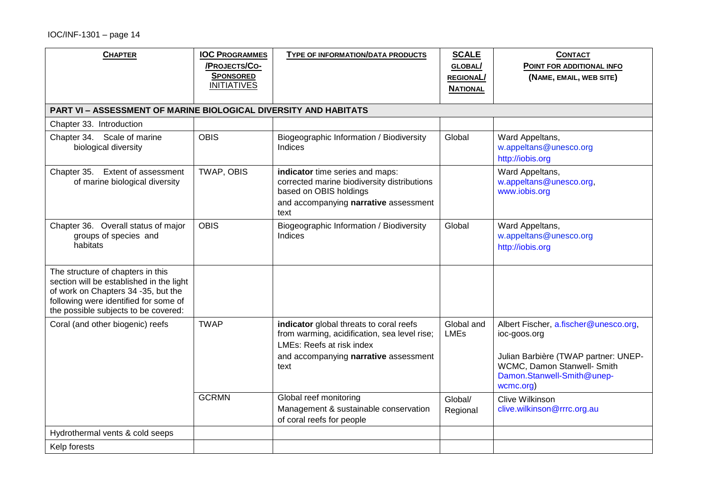| <b>CHAPTER</b>                                                                                                                                                                                        | <b>IOC PROGRAMMES</b><br>/PROJECTS/CO- | TYPE OF INFORMATION/DATA PRODUCTS                                                                                                                                     | <b>SCALE</b><br>GLOBAL/   | <b>CONTACT</b><br>POINT FOR ADDITIONAL INFO                                                                                                                             |
|-------------------------------------------------------------------------------------------------------------------------------------------------------------------------------------------------------|----------------------------------------|-----------------------------------------------------------------------------------------------------------------------------------------------------------------------|---------------------------|-------------------------------------------------------------------------------------------------------------------------------------------------------------------------|
|                                                                                                                                                                                                       | <b>SPONSORED</b><br><b>INITIATIVES</b> |                                                                                                                                                                       | <b>REGIONAL/</b>          | (NAME, EMAIL, WEB SITE)                                                                                                                                                 |
|                                                                                                                                                                                                       |                                        |                                                                                                                                                                       | <b>NATIONAL</b>           |                                                                                                                                                                         |
| <b>PART VI - ASSESSMENT OF MARINE BIOLOGICAL DIVERSITY AND HABITATS</b>                                                                                                                               |                                        |                                                                                                                                                                       |                           |                                                                                                                                                                         |
| Chapter 33. Introduction                                                                                                                                                                              |                                        |                                                                                                                                                                       |                           |                                                                                                                                                                         |
| Chapter 34. Scale of marine<br>biological diversity                                                                                                                                                   | <b>OBIS</b>                            | Biogeographic Information / Biodiversity<br><b>Indices</b>                                                                                                            | Global                    | Ward Appeltans,<br>w.appeltans@unesco.org<br>http://iobis.org                                                                                                           |
| Chapter 35. Extent of assessment<br>of marine biological diversity                                                                                                                                    | TWAP, OBIS                             | indicator time series and maps:<br>corrected marine biodiversity distributions<br>based on OBIS holdings<br>and accompanying narrative assessment<br>text             |                           | Ward Appeltans,<br>w.appeltans@unesco.org,<br>www.iobis.org                                                                                                             |
| Chapter 36. Overall status of major<br>groups of species and<br>habitats                                                                                                                              | <b>OBIS</b>                            | Biogeographic Information / Biodiversity<br><b>Indices</b>                                                                                                            | Global                    | Ward Appeltans,<br>w.appeltans@unesco.org<br>http://iobis.org                                                                                                           |
| The structure of chapters in this<br>section will be established in the light<br>of work on Chapters 34 -35, but the<br>following were identified for some of<br>the possible subjects to be covered: |                                        |                                                                                                                                                                       |                           |                                                                                                                                                                         |
| Coral (and other biogenic) reefs                                                                                                                                                                      | <b>TWAP</b>                            | indicator global threats to coral reefs<br>from warming, acidification, sea level rise;<br>LMEs: Reefs at risk index<br>and accompanying narrative assessment<br>text | Global and<br><b>LMEs</b> | Albert Fischer, a.fischer@unesco.org,<br>ioc-goos.org<br>Julian Barbière (TWAP partner: UNEP-<br>WCMC, Damon Stanwell- Smith<br>Damon.Stanwell-Smith@unep-<br>wcmc.org) |
|                                                                                                                                                                                                       | <b>GCRMN</b>                           | Global reef monitoring<br>Management & sustainable conservation<br>of coral reefs for people                                                                          | Global/<br>Regional       | Clive Wilkinson<br>clive.wilkinson@rrrc.org.au                                                                                                                          |
| Hydrothermal vents & cold seeps                                                                                                                                                                       |                                        |                                                                                                                                                                       |                           |                                                                                                                                                                         |
| Kelp forests                                                                                                                                                                                          |                                        |                                                                                                                                                                       |                           |                                                                                                                                                                         |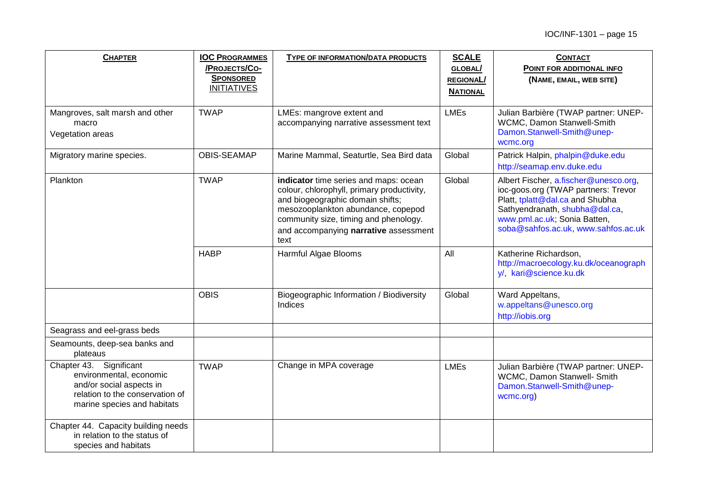| <b>CHAPTER</b>                                                                                                                                   | <b>IOC PROGRAMMES</b><br>/PROJECTS/CO-<br><b>SPONSORED</b><br><b>INITIATIVES</b> | TYPE OF INFORMATION/DATA PRODUCTS                                                                                                                                                                                                                       | <b>SCALE</b><br>GLOBAL/<br><b>REGIONAL/</b><br><b>NATIONAL</b> | <b>CONTACT</b><br>POINT FOR ADDITIONAL INFO<br>(NAME, EMAIL, WEB SITE)                                                                                                                                                   |
|--------------------------------------------------------------------------------------------------------------------------------------------------|----------------------------------------------------------------------------------|---------------------------------------------------------------------------------------------------------------------------------------------------------------------------------------------------------------------------------------------------------|----------------------------------------------------------------|--------------------------------------------------------------------------------------------------------------------------------------------------------------------------------------------------------------------------|
| Mangroves, salt marsh and other<br>macro<br>Vegetation areas                                                                                     | <b>TWAP</b>                                                                      | LMEs: mangrove extent and<br>accompanying narrative assessment text                                                                                                                                                                                     | <b>LMEs</b>                                                    | Julian Barbière (TWAP partner: UNEP-<br>WCMC, Damon Stanwell-Smith<br>Damon.Stanwell-Smith@unep-<br>wcmc.org                                                                                                             |
| Migratory marine species.                                                                                                                        | <b>OBIS-SEAMAP</b>                                                               | Marine Mammal, Seaturtle, Sea Bird data                                                                                                                                                                                                                 | Global                                                         | Patrick Halpin, phalpin@duke.edu<br>http://seamap.env.duke.edu                                                                                                                                                           |
| Plankton                                                                                                                                         | <b>TWAP</b>                                                                      | indicator time series and maps: ocean<br>colour, chlorophyll, primary productivity,<br>and biogeographic domain shifts;<br>mesozooplankton abundance, copepod<br>community size, timing and phenology.<br>and accompanying narrative assessment<br>text | Global                                                         | Albert Fischer, a.fischer@unesco.org,<br>ioc-goos.org (TWAP partners: Trevor<br>Platt, tplatt@dal.ca and Shubha<br>Sathyendranath, shubha@dal.ca,<br>www.pml.ac.uk; Sonia Batten,<br>soba@sahfos.ac.uk, www.sahfos.ac.uk |
|                                                                                                                                                  | <b>HABP</b>                                                                      | Harmful Algae Blooms                                                                                                                                                                                                                                    | All                                                            | Katherine Richardson,<br>http://macroecology.ku.dk/oceanograph<br>y/, kari@science.ku.dk                                                                                                                                 |
|                                                                                                                                                  | <b>OBIS</b>                                                                      | Biogeographic Information / Biodiversity<br>Indices                                                                                                                                                                                                     | Global                                                         | Ward Appeltans,<br>w.appeltans@unesco.org<br>http://iobis.org                                                                                                                                                            |
| Seagrass and eel-grass beds                                                                                                                      |                                                                                  |                                                                                                                                                                                                                                                         |                                                                |                                                                                                                                                                                                                          |
| Seamounts, deep-sea banks and<br>plateaus                                                                                                        |                                                                                  |                                                                                                                                                                                                                                                         |                                                                |                                                                                                                                                                                                                          |
| Chapter 43. Significant<br>environmental, economic<br>and/or social aspects in<br>relation to the conservation of<br>marine species and habitats | <b>TWAP</b>                                                                      | Change in MPA coverage                                                                                                                                                                                                                                  | <b>LMEs</b>                                                    | Julian Barbière (TWAP partner: UNEP-<br>WCMC, Damon Stanwell- Smith<br>Damon.Stanwell-Smith@unep-<br>wcmc.org)                                                                                                           |
| Chapter 44. Capacity building needs<br>in relation to the status of<br>species and habitats                                                      |                                                                                  |                                                                                                                                                                                                                                                         |                                                                |                                                                                                                                                                                                                          |